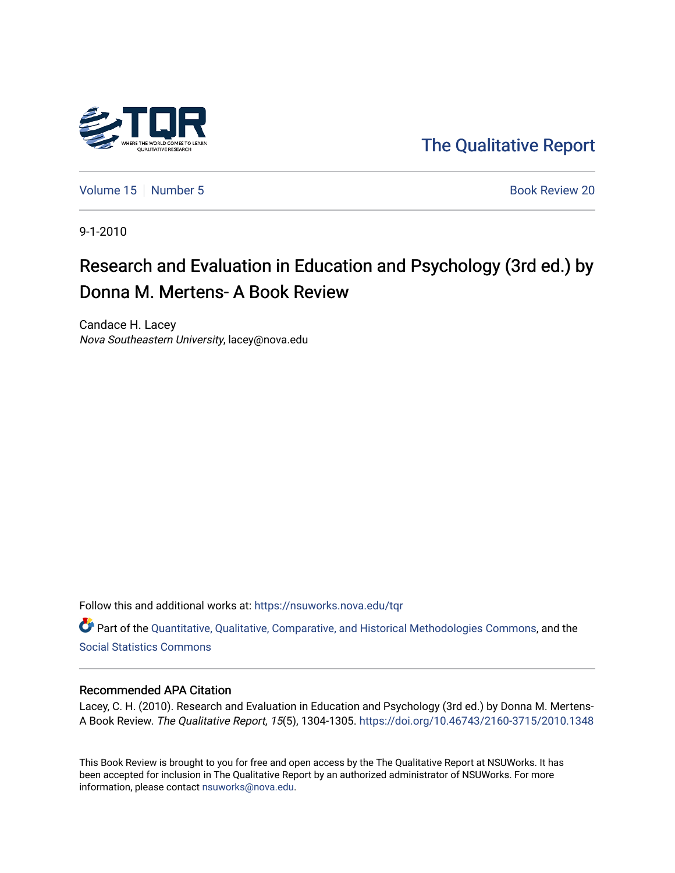

[The Qualitative Report](https://nsuworks.nova.edu/tqr) 

[Volume 15](https://nsuworks.nova.edu/tqr/vol15) [Number 5](https://nsuworks.nova.edu/tqr/vol15/iss5)  $\sim$  Book Review 20

9-1-2010

# Research and Evaluation in Education and Psychology (3rd ed.) by Donna M. Mertens- A Book Review

Candace H. Lacey Nova Southeastern University, lacey@nova.edu

Follow this and additional works at: [https://nsuworks.nova.edu/tqr](https://nsuworks.nova.edu/tqr?utm_source=nsuworks.nova.edu%2Ftqr%2Fvol15%2Fiss5%2F20&utm_medium=PDF&utm_campaign=PDFCoverPages) 

Part of the [Quantitative, Qualitative, Comparative, and Historical Methodologies Commons,](http://network.bepress.com/hgg/discipline/423?utm_source=nsuworks.nova.edu%2Ftqr%2Fvol15%2Fiss5%2F20&utm_medium=PDF&utm_campaign=PDFCoverPages) and the [Social Statistics Commons](http://network.bepress.com/hgg/discipline/1275?utm_source=nsuworks.nova.edu%2Ftqr%2Fvol15%2Fiss5%2F20&utm_medium=PDF&utm_campaign=PDFCoverPages) 

### Recommended APA Citation

Lacey, C. H. (2010). Research and Evaluation in Education and Psychology (3rd ed.) by Donna M. Mertens-A Book Review. The Qualitative Report, 15(5), 1304-1305.<https://doi.org/10.46743/2160-3715/2010.1348>

This Book Review is brought to you for free and open access by the The Qualitative Report at NSUWorks. It has been accepted for inclusion in The Qualitative Report by an authorized administrator of NSUWorks. For more information, please contact [nsuworks@nova.edu.](mailto:nsuworks@nova.edu)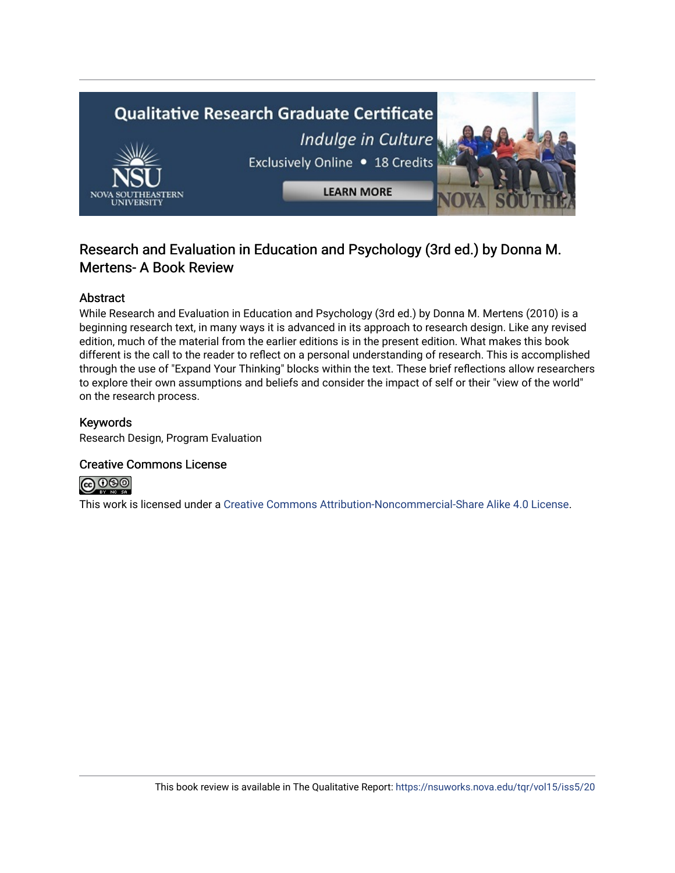

# Research and Evaluation in Education and Psychology (3rd ed.) by Donna M. Mertens- A Book Review

# Abstract

While Research and Evaluation in Education and Psychology (3rd ed.) by Donna M. Mertens (2010) is a beginning research text, in many ways it is advanced in its approach to research design. Like any revised edition, much of the material from the earlier editions is in the present edition. What makes this book different is the call to the reader to reflect on a personal understanding of research. This is accomplished through the use of "Expand Your Thinking" blocks within the text. These brief reflections allow researchers to explore their own assumptions and beliefs and consider the impact of self or their "view of the world" on the research process.

## Keywords

Research Design, Program Evaluation

## Creative Commons License



This work is licensed under a [Creative Commons Attribution-Noncommercial-Share Alike 4.0 License](https://creativecommons.org/licenses/by-nc-sa/4.0/).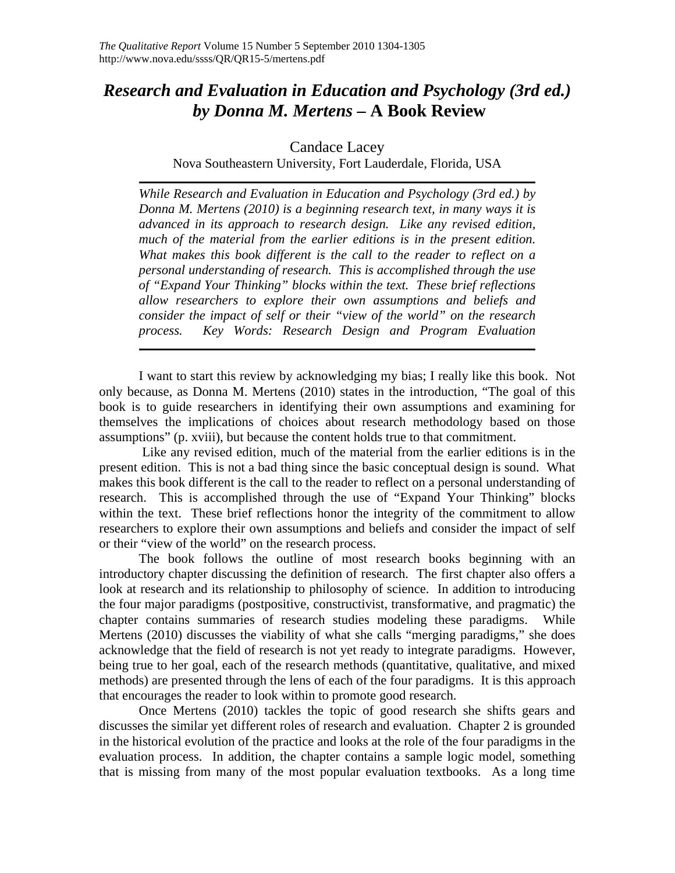# *Research and Evaluation in Education and Psychology (3rd ed.) by Donna M. Mertens –* **A Book Review**

Candace Lacey

Nova Southeastern University, Fort Lauderdale, Florida, USA

*While Research and Evaluation in Education and Psychology (3rd ed.) by Donna M. Mertens (2010) is a beginning research text, in many ways it is advanced in its approach to research design. Like any revised edition, much of the material from the earlier editions is in the present edition. What makes this book different is the call to the reader to reflect on a personal understanding of research. This is accomplished through the use of "Expand Your Thinking" blocks within the text. These brief reflections allow researchers to explore their own assumptions and beliefs and consider the impact of self or their "view of the world" on the research process. Key Words: Research Design and Program Evaluation*

I want to start this review by acknowledging my bias; I really like this book. Not only because, as Donna M. Mertens (2010) states in the introduction, "The goal of this book is to guide researchers in identifying their own assumptions and examining for themselves the implications of choices about research methodology based on those assumptions" (p. xviii), but because the content holds true to that commitment.

 Like any revised edition, much of the material from the earlier editions is in the present edition. This is not a bad thing since the basic conceptual design is sound. What makes this book different is the call to the reader to reflect on a personal understanding of research. This is accomplished through the use of "Expand Your Thinking" blocks within the text. These brief reflections honor the integrity of the commitment to allow researchers to explore their own assumptions and beliefs and consider the impact of self or their "view of the world" on the research process.

The book follows the outline of most research books beginning with an introductory chapter discussing the definition of research. The first chapter also offers a look at research and its relationship to philosophy of science. In addition to introducing the four major paradigms (postpositive, constructivist, transformative, and pragmatic) the chapter contains summaries of research studies modeling these paradigms. While Mertens (2010) discusses the viability of what she calls "merging paradigms," she does acknowledge that the field of research is not yet ready to integrate paradigms. However, being true to her goal, each of the research methods (quantitative, qualitative, and mixed methods) are presented through the lens of each of the four paradigms. It is this approach that encourages the reader to look within to promote good research.

Once Mertens (2010) tackles the topic of good research she shifts gears and discusses the similar yet different roles of research and evaluation. Chapter 2 is grounded in the historical evolution of the practice and looks at the role of the four paradigms in the evaluation process. In addition, the chapter contains a sample logic model, something that is missing from many of the most popular evaluation textbooks. As a long time